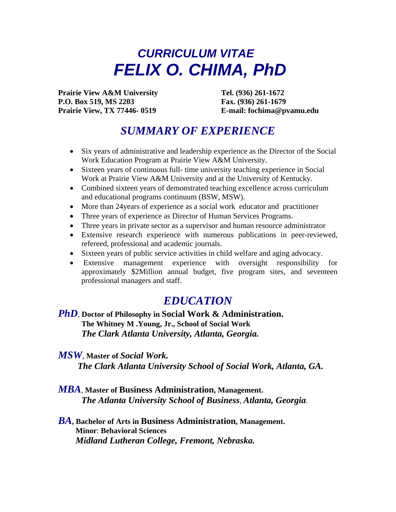# *CURRICULUM VITAE FELIX O. CHIMA, PhD*

Prairie View A&M University Tel. (936) 261-1672 **P.O. Box 519, MS 2203 Fax. (936) 261-1679 Prairie View, TX 77446- 0519 E-mail: fochima@pvamu.edu** 

# *SUMMARY OF EXPERIENCE*

- Six years of administrative and leadership experience as the Director of the Social Work Education Program at Prairie View A&M University.
- Sixteen years of continuous full- time university teaching experience in Social Work at Prairie View A&M University and at the University of Kentucky.
- Combined sixteen years of demonstrated teaching excellence across curriculum and educational programs continuum (BSW, MSW).
- More than 24 years of experience as a social work educator and practitioner
- Three years of experience as Director of Human Services Programs.
- Three years in private sector as a supervisor and human resource administrator
- Extensive research experience with numerous publications in peer-reviewed, refereed, professional and academic journals.
- Sixteen years of public service activities in child welfare and aging advocacy.
- Extensive management experience with oversight responsibility for approximately \$2Million annual budget, five program sites, and seventeen professional managers and staff.

# *EDUCATION*

#### *PhD*, **Doctor of Philosophy in Social Work & Administration. The Whitney M .Young, Jr., School of Social Work**  *The Clark Atlanta University, Atlanta, Georgia.*

*MSW*, **Master of** *Social Work.* 

*The Clark Atlanta University School of Social Work, Atlanta, GA.* 

- *MBA*, **Master of Business Administration, Management.**  *The Atlanta University School of Business*, *Atlanta, Georgia*.
- *BA***, Bachelor of Arts in Business Administration, Management. Minor**: **Behavioral Sciences** *Midland Lutheran College, Fremont, Nebraska.*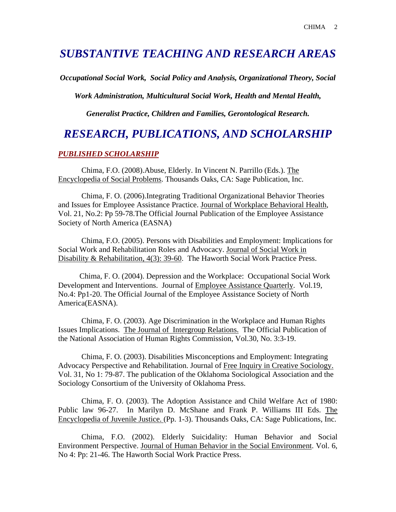# *SUBSTANTIVE TEACHING AND RESEARCH AREAS*

*Occupational Social Work, Social Policy and Analysis, Organizational Theory, Social* 

*Work Administration, Multicultural Social Work, Health and Mental Health,* 

*Generalist Practice, Children and Families, Gerontological Research.*

### *RESEARCH, PUBLICATIONS, AND SCHOLARSHIP*

#### *PUBLISHED SCHOLARSHIP*

Chima, F.O. (2008).Abuse, Elderly. In Vincent N. Parrillo (Eds.). The Encyclopedia of Social Problems. Thousands Oaks, CA: Sage Publication, Inc.

Chima, F. O. (2006).Integrating Traditional Organizational Behavior Theories and Issues for Employee Assistance Practice. Journal of Workplace Behavioral Health, Vol. 21, No.2: Pp 59-78.The Official Journal Publication of the Employee Assistance Society of North America (EASNA)

Chima, F.O. (2005). Persons with Disabilities and Employment: Implications for Social Work and Rehabilitation Roles and Advocacy. Journal of Social Work in Disability & Rehabilitation, 4(3): 39-60. The Haworth Social Work Practice Press.

 Chima, F. O. (2004). Depression and the Workplace: Occupational Social Work Development and Interventions. Journal of Employee Assistance Quarterly. Vol.19, No.4: Pp1-20. The Official Journal of the Employee Assistance Society of North America(EASNA).

Chima, F. O. (2003). Age Discrimination in the Workplace and Human Rights Issues Implications. The Journal of Intergroup Relations. The Official Publication of the National Association of Human Rights Commission, Vol.30, No. 3:3-19.

Chima, F. O. (2003). Disabilities Misconceptions and Employment: Integrating Advocacy Perspective and Rehabilitation. Journal of Free Inquiry in Creative Sociology. Vol. 31, No 1: 79-87. The publication of the Oklahoma Sociological Association and the Sociology Consortium of the University of Oklahoma Press.

Chima, F. O. (2003). The Adoption Assistance and Child Welfare Act of 1980: Public law 96-27. In Marilyn D. McShane and Frank P. Williams III Eds. The Encyclopedia of Juvenile Justice. (Pp. 1-3). Thousands Oaks, CA: Sage Publications, Inc.

Chima, F.O. (2002). Elderly Suicidality: Human Behavior and Social Environment Perspective. Journal of Human Behavior in the Social Environment. Vol. 6, No 4: Pp: 21-46. The Haworth Social Work Practice Press.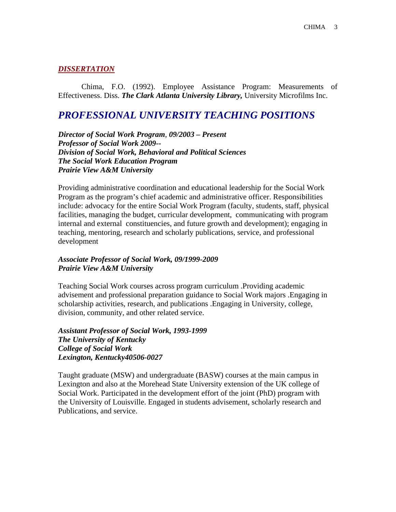#### *DISSERTATION*

 Chima, F.O. (1992). Employee Assistance Program: Measurements of Effectiveness. Diss. *The Clark Atlanta University Library,* University Microfilms Inc.

### *PROFESSIONAL UNIVERSITY TEACHING POSITIONS*

*Director of Social Work Program*, *09/2003 – Present Professor of Social Work 2009-- Division of Social Work, Behavioral and Political Sciences The Social Work Education Program Prairie View A&M University* 

Providing administrative coordination and educational leadership for the Social Work Program as the program's chief academic and administrative officer. Responsibilities include: advocacy for the entire Social Work Program (faculty, students, staff, physical facilities, managing the budget, curricular development, communicating with program internal and external constituencies, and future growth and development); engaging in teaching, mentoring, research and scholarly publications, service, and professional development

#### *Associate Professor of Social Work, 09/1999-2009 Prairie View A&M University*

Teaching Social Work courses across program curriculum .Providing academic advisement and professional preparation guidance to Social Work majors .Engaging in scholarship activities, research, and publications .Engaging in University, college, division, community, and other related service.

#### *Assistant Professor of Social Work, 1993-1999 The University of Kentucky College of Social Work Lexington, Kentucky40506-0027*

Taught graduate (MSW) and undergraduate (BASW) courses at the main campus in Lexington and also at the Morehead State University extension of the UK college of Social Work. Participated in the development effort of the joint (PhD) program with the University of Louisville. Engaged in students advisement, scholarly research and Publications, and service.